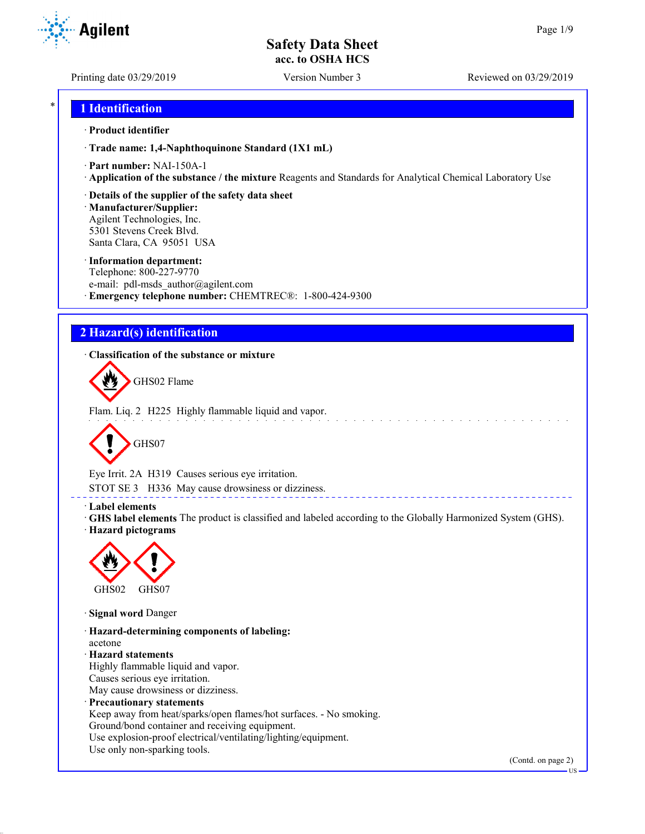Printing date 03/29/2019 Version Number 3 Reviewed on 03/29/2019

**Agilent** 

## \* **1 Identification**

#### · **Product identifier**

· **Trade name: 1,4-Naphthoquinone Standard (1X1 mL)**

- · **Part number:** NAI-150A-1
- · **Application of the substance / the mixture** Reagents and Standards for Analytical Chemical Laboratory Use
- · **Details of the supplier of the safety data sheet**

· **Manufacturer/Supplier:** Agilent Technologies, Inc. 5301 Stevens Creek Blvd. Santa Clara, CA 95051 USA

#### · **Information department:**

Telephone: 800-227-9770 e-mail: pdl-msds author@agilent.com · **Emergency telephone number:** CHEMTREC®: 1-800-424-9300

## **2 Hazard(s) identification**

· **Classification of the substance or mixture**



Flam. Liq. 2 H225 Highly flammable liquid and vapor.



Eye Irrit. 2A H319 Causes serious eye irritation.

STOT SE 3 H336 May cause drowsiness or dizziness.

#### · **Label elements**

· **GHS label elements** The product is classified and labeled according to the Globally Harmonized System (GHS). · **Hazard pictograms**

<u>e e e e e e e e e e</u>



· **Signal word** Danger

· **Hazard-determining components of labeling:** acetone · **Hazard statements** Highly flammable liquid and vapor. Causes serious eye irritation. May cause drowsiness or dizziness. · **Precautionary statements** Keep away from heat/sparks/open flames/hot surfaces. - No smoking. Ground/bond container and receiving equipment. Use explosion-proof electrical/ventilating/lighting/equipment. Use only non-sparking tools.

(Contd. on page 2)

US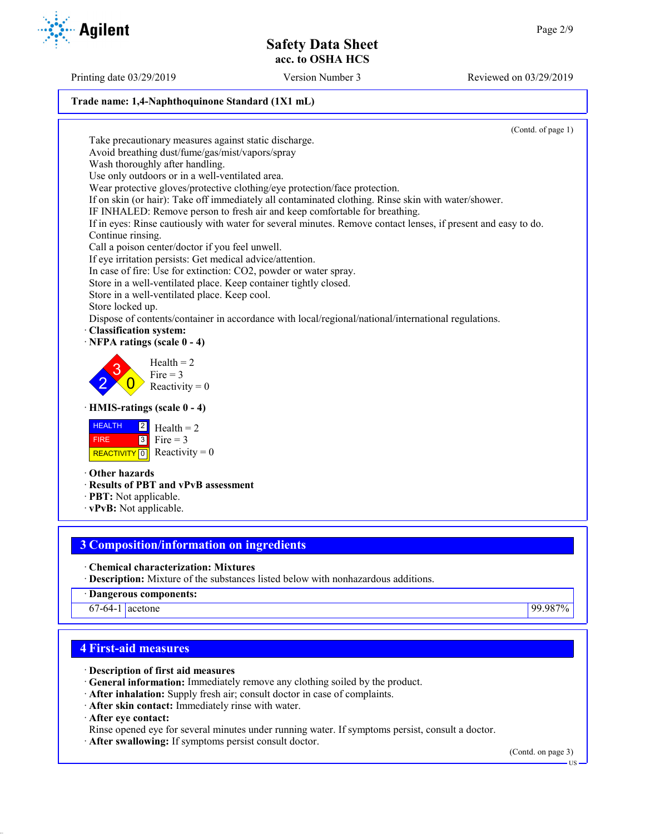### **Trade name: 1,4-Naphthoquinone Standard (1X1 mL)**

(Contd. of page 1) Take precautionary measures against static discharge. Avoid breathing dust/fume/gas/mist/vapors/spray Wash thoroughly after handling. Use only outdoors or in a well-ventilated area. Wear protective gloves/protective clothing/eye protection/face protection. If on skin (or hair): Take off immediately all contaminated clothing. Rinse skin with water/shower. IF INHALED: Remove person to fresh air and keep comfortable for breathing. If in eyes: Rinse cautiously with water for several minutes. Remove contact lenses, if present and easy to do. Continue rinsing. Call a poison center/doctor if you feel unwell. If eye irritation persists: Get medical advice/attention. In case of fire: Use for extinction: CO2, powder or water spray. Store in a well-ventilated place. Keep container tightly closed. Store in a well-ventilated place. Keep cool. Store locked up. Dispose of contents/container in accordance with local/regional/national/international regulations. · **Classification system:** · **NFPA ratings (scale 0 - 4)** 2 3  $\overline{0}$  $Health = 2$ Fire  $= 3$ Reactivity  $= 0$ · **HMIS-ratings (scale 0 - 4) HEALTH**  FIRE REACTIVITY  $\boxed{0}$  Reactivity = 0  $|2|$  $3$  Fire = 3  $Health = 2$ · **Other hazards** · **Results of PBT and vPvB assessment** · **PBT:** Not applicable. · **vPvB:** Not applicable.

## **3 Composition/information on ingredients**

· **Chemical characterization: Mixtures**

- · **Description:** Mixture of the substances listed below with nonhazardous additions.
- · **Dangerous components:**

67-64-1 acetone 99.987%

# **4 First-aid measures**

- · **Description of first aid measures**
- · **General information:** Immediately remove any clothing soiled by the product.
- · **After inhalation:** Supply fresh air; consult doctor in case of complaints.
- · **After skin contact:** Immediately rinse with water.

· **After eye contact:**

- Rinse opened eye for several minutes under running water. If symptoms persist, consult a doctor.
- · **After swallowing:** If symptoms persist consult doctor.

(Contd. on page 3)



Printing date 03/29/2019 Version Number 3 Reviewed on 03/29/2019

US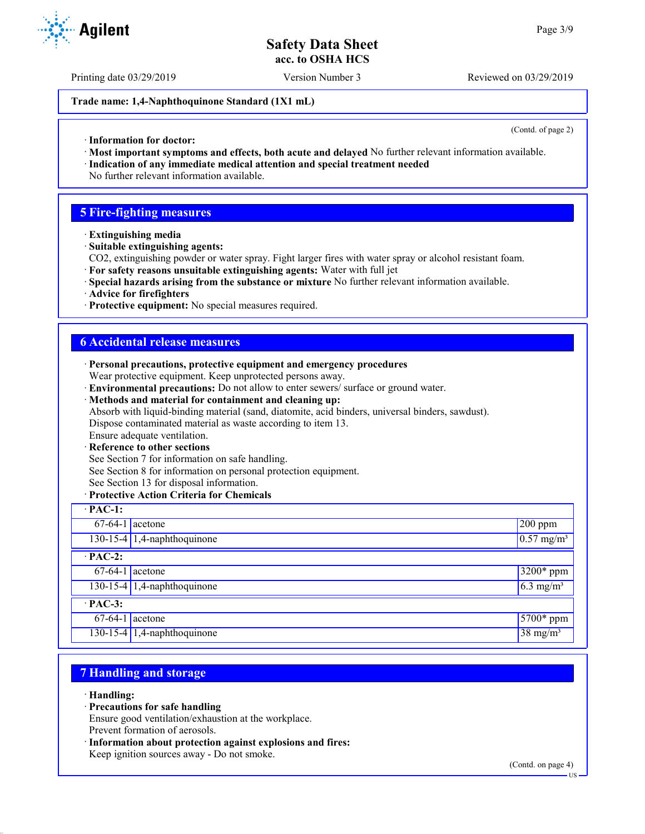Printing date 03/29/2019 Version Number 3 Reviewed on 03/29/2019

#### **Trade name: 1,4-Naphthoquinone Standard (1X1 mL)**

(Contd. of page 2)

- · **Information for doctor:**
- · **Most important symptoms and effects, both acute and delayed** No further relevant information available.
- · **Indication of any immediate medical attention and special treatment needed** No further relevant information available.

## **5 Fire-fighting measures**

- · **Extinguishing media**
- · **Suitable extinguishing agents:**
- CO2, extinguishing powder or water spray. Fight larger fires with water spray or alcohol resistant foam.
- · **For safety reasons unsuitable extinguishing agents:** Water with full jet
- · **Special hazards arising from the substance or mixture** No further relevant information available.
- · **Advice for firefighters**
- · **Protective equipment:** No special measures required.

## **6 Accidental release measures**

- · **Personal precautions, protective equipment and emergency procedures** Wear protective equipment. Keep unprotected persons away.
- · **Environmental precautions:** Do not allow to enter sewers/ surface or ground water.
- · **Methods and material for containment and cleaning up:** Absorb with liquid-binding material (sand, diatomite, acid binders, universal binders, sawdust). Dispose contaminated material as waste according to item 13.
- Ensure adequate ventilation.
- **Reference to other sections**
- See Section 7 for information on safe handling.
- See Section 8 for information on personal protection equipment.
- See Section 13 for disposal information.

#### · **Protective Action Criteria for Chemicals**

| $\cdot$ PAC-1:    |                                     |                               |  |  |
|-------------------|-------------------------------------|-------------------------------|--|--|
| $67-64-1$ acetone |                                     | $200$ ppm                     |  |  |
|                   | 130-15-4 $\vert$ 1,4-naphthoquinone | $0.57$ mg/m <sup>3</sup>      |  |  |
| $\cdot$ PAC-2:    |                                     |                               |  |  |
| $67-64-1$ acetone |                                     | $3200*$ ppm                   |  |  |
|                   | 130-15-4 1,4-naphthoquinone         | $\sqrt{6.3 \text{ mg/m}^3}$   |  |  |
| $\cdot$ PAC-3:    |                                     |                               |  |  |
| $67-64-1$ acetone |                                     | $5700*$ ppm                   |  |  |
|                   | 130-15-4 1,4-naphthoquinone         | $\sqrt{38}$ mg/m <sup>3</sup> |  |  |

## **7 Handling and storage**

- · **Handling:**
- · **Precautions for safe handling**
- Ensure good ventilation/exhaustion at the workplace. Prevent formation of aerosols.
- · **Information about protection against explosions and fires:** Keep ignition sources away - Do not smoke.

(Contd. on page 4) US

**Agilent**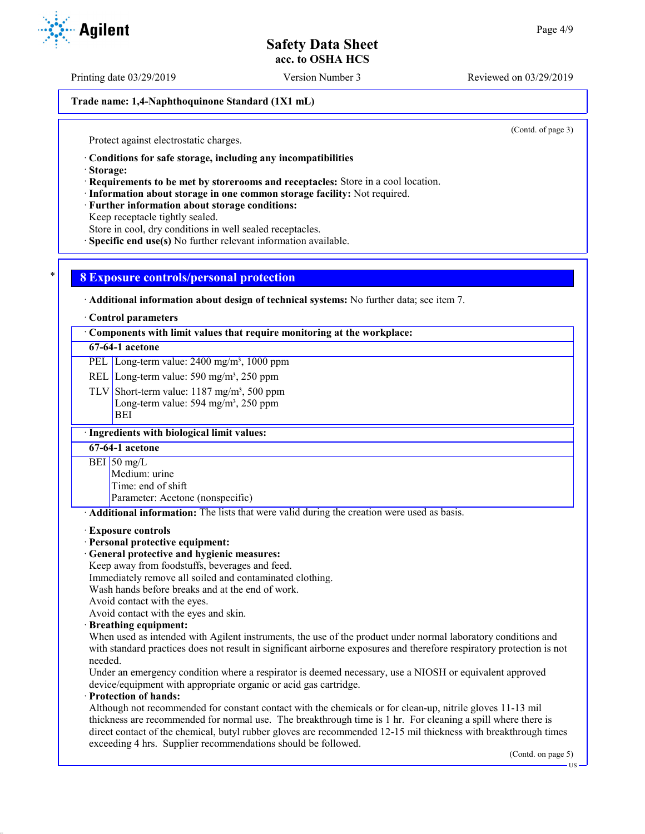Printing date 03/29/2019 Version Number 3 Reviewed on 03/29/2019

### **Trade name: 1,4-Naphthoquinone Standard (1X1 mL)**

(Contd. of page 3)

Protect against electrostatic charges.

· **Conditions for safe storage, including any incompatibilities**

· **Storage:**

· **Requirements to be met by storerooms and receptacles:** Store in a cool location.

· **Information about storage in one common storage facility:** Not required.

· **Further information about storage conditions:**

Keep receptacle tightly sealed.

Store in cool, dry conditions in well sealed receptacles.

· **Specific end use(s)** No further relevant information available.

## \* **8 Exposure controls/personal protection**

· **Additional information about design of technical systems:** No further data; see item 7.

#### · **Control parameters**

· **Components with limit values that require monitoring at the workplace:**

#### **67-64-1 acetone**

PEL Long-term value: 2400 mg/m<sup>3</sup>, 1000 ppm

REL Long-term value: 590 mg/m<sup>3</sup>, 250 ppm

TLV Short-term value:  $1187 \text{ mg/m}^3$ , 500 ppm Long-term value: 594 mg/m<sup>3</sup>, 250 ppm BEI

#### · **Ingredients with biological limit values:**

**67-64-1 acetone**

BEI 50 mg/L

Medium: urine

Time: end of shift

Parameter: Acetone (nonspecific)

· **Additional information:** The lists that were valid during the creation were used as basis.

#### · **Exposure controls**

#### · **Personal protective equipment:**

· **General protective and hygienic measures:**

Keep away from foodstuffs, beverages and feed.

Immediately remove all soiled and contaminated clothing.

Wash hands before breaks and at the end of work.

Avoid contact with the eyes.

Avoid contact with the eyes and skin.

#### · **Breathing equipment:**

When used as intended with Agilent instruments, the use of the product under normal laboratory conditions and with standard practices does not result in significant airborne exposures and therefore respiratory protection is not needed.

Under an emergency condition where a respirator is deemed necessary, use a NIOSH or equivalent approved device/equipment with appropriate organic or acid gas cartridge.

## · **Protection of hands:**

Although not recommended for constant contact with the chemicals or for clean-up, nitrile gloves 11-13 mil thickness are recommended for normal use. The breakthrough time is 1 hr. For cleaning a spill where there is direct contact of the chemical, butyl rubber gloves are recommended 12-15 mil thickness with breakthrough times exceeding 4 hrs. Supplier recommendations should be followed.

(Contd. on page 5)

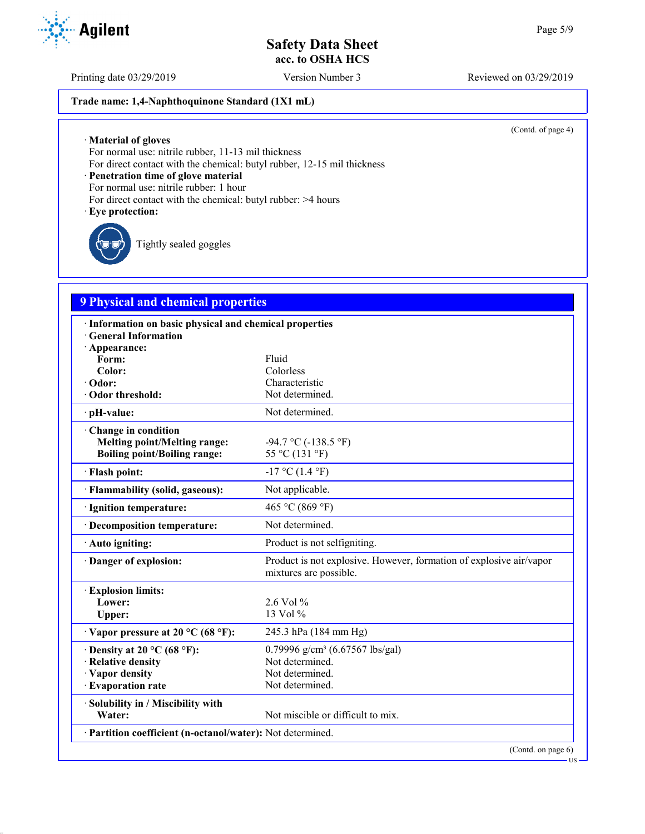Printing date 03/29/2019 Version Number 3 Reviewed on 03/29/2019

## **Trade name: 1,4-Naphthoquinone Standard (1X1 mL)**

(Contd. of page 4)

· **Material of gloves**

For normal use: nitrile rubber, 11-13 mil thickness

For direct contact with the chemical: butyl rubber, 12-15 mil thickness

· **Penetration time of glove material**

For normal use: nitrile rubber: 1 hour

- For direct contact with the chemical: butyl rubber: >4 hours
- · **Eye protection:**

Tightly sealed goggles

## **9 Physical and chemical properties**

| · Information on basic physical and chemical properties    |                                                                                               |
|------------------------------------------------------------|-----------------------------------------------------------------------------------------------|
| <b>General Information</b>                                 |                                                                                               |
| · Appearance:<br>Form:                                     | Fluid                                                                                         |
| Color:                                                     | Colorless                                                                                     |
| · Odor:                                                    | Characteristic                                                                                |
| Odor threshold:                                            | Not determined.                                                                               |
| · pH-value:                                                | Not determined.                                                                               |
| Change in condition                                        |                                                                                               |
| <b>Melting point/Melting range:</b>                        | -94.7 °C (-138.5 °F)                                                                          |
| <b>Boiling point/Boiling range:</b>                        | 55 °C (131 °F)                                                                                |
| · Flash point:                                             | $-17$ °C (1.4 °F)                                                                             |
| · Flammability (solid, gaseous):                           | Not applicable.                                                                               |
| · Ignition temperature:                                    | 465 °C (869 °F)                                                                               |
| · Decomposition temperature:                               | Not determined.                                                                               |
| · Auto igniting:                                           | Product is not selfigniting.                                                                  |
| · Danger of explosion:                                     | Product is not explosive. However, formation of explosive air/vapor<br>mixtures are possible. |
| <b>Explosion limits:</b>                                   |                                                                                               |
| Lower:                                                     | $2.6$ Vol %                                                                                   |
| Upper:                                                     | 13 Vol %                                                                                      |
| $\cdot$ Vapor pressure at 20 °C (68 °F):                   | 245.3 hPa (184 mm Hg)                                                                         |
| $\cdot$ Density at 20 °C (68 °F):                          | 0.79996 g/cm <sup>3</sup> (6.67567 lbs/gal)                                                   |
| · Relative density                                         | Not determined.                                                                               |
| · Vapor density                                            | Not determined.                                                                               |
| · Evaporation rate                                         | Not determined.                                                                               |
| · Solubility in / Miscibility with                         |                                                                                               |
| Water:                                                     | Not miscible or difficult to mix.                                                             |
| · Partition coefficient (n-octanol/water): Not determined. |                                                                                               |
|                                                            | (Contd. on page 6)                                                                            |



US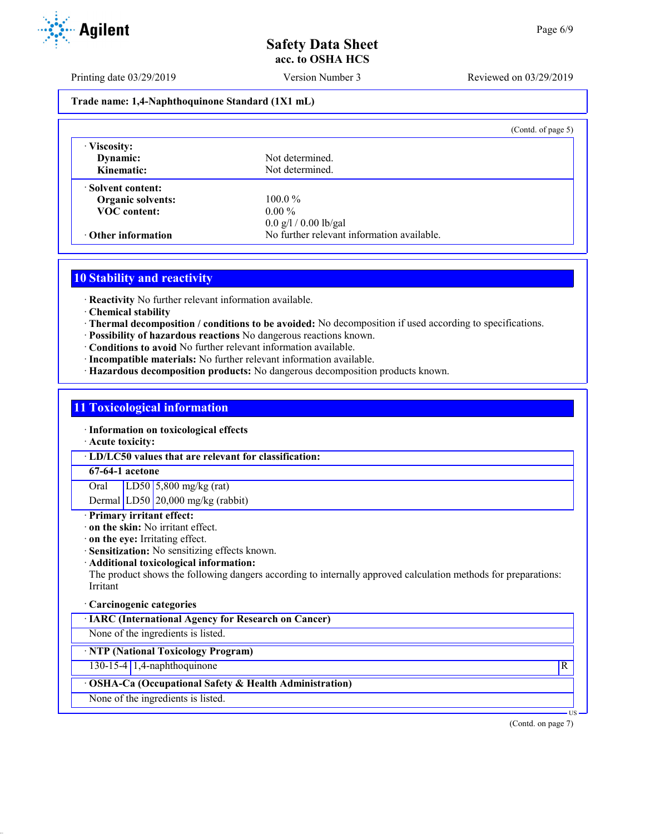Printing date 03/29/2019 Version Number 3 Reviewed on 03/29/2019

### **Trade name: 1,4-Naphthoquinone Standard (1X1 mL)**

|                                        | (Contd. of page $5$ )                      |  |
|----------------------------------------|--------------------------------------------|--|
| · Viscosity:<br>Dynamic:<br>Kinematic: | Not determined.<br>Not determined.         |  |
| Solvent content:                       |                                            |  |
| <b>Organic solvents:</b>               | $100.0\%$                                  |  |
| <b>VOC</b> content:                    | $0.00\%$                                   |  |
|                                        | $0.0$ g/l / 0.00 lb/gal                    |  |
| $\cdot$ Other information              | No further relevant information available. |  |

# **10 Stability and reactivity**

· **Reactivity** No further relevant information available.

- · **Chemical stability**
- · **Thermal decomposition / conditions to be avoided:** No decomposition if used according to specifications.
- · **Possibility of hazardous reactions** No dangerous reactions known.
- · **Conditions to avoid** No further relevant information available.
- · **Incompatible materials:** No further relevant information available.
- · **Hazardous decomposition products:** No dangerous decomposition products known.

#### **11 Toxicological information**

· **Information on toxicological effects**

· **Acute toxicity:**

· **LD/LC50 values that are relevant for classification:**

#### **67-64-1 acetone**

Oral LD50 5,800 mg/kg (rat) Dermal LD50 20,000 mg/kg (rabbit)

## · **Primary irritant effect:**

- · **on the skin:** No irritant effect.
- · **on the eye:** Irritating effect.
- · **Sensitization:** No sensitizing effects known.
- · **Additional toxicological information:**

The product shows the following dangers according to internally approved calculation methods for preparations: Irritant

#### · **Carcinogenic categories**

· **IARC (International Agency for Research on Cancer)**

None of the ingredients is listed.

## · **NTP (National Toxicology Program)**

130-15-4 1,4-naphthoquinone R

## · **OSHA-Ca (Occupational Safety & Health Administration)**

None of the ingredients is listed.

(Contd. on page 7)

US

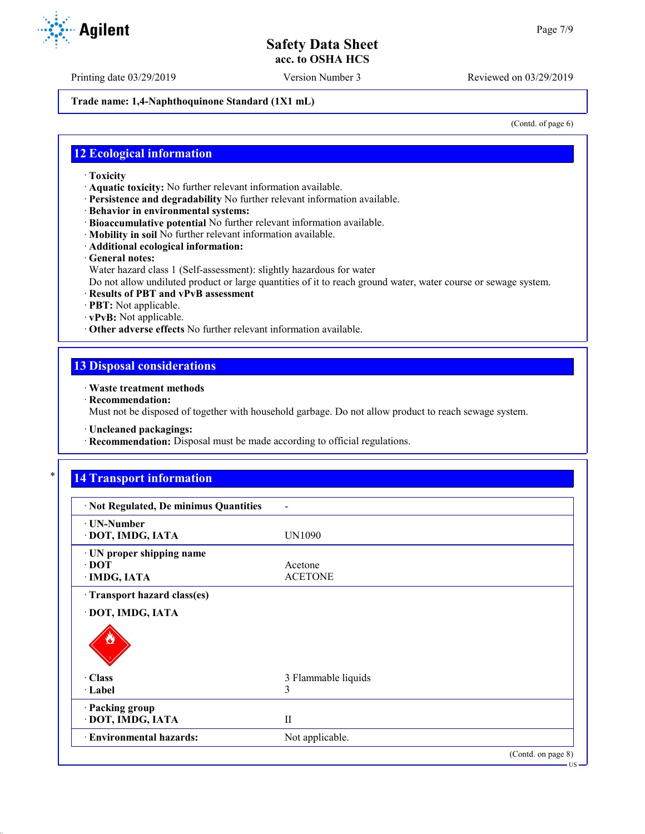Printing date 03/29/2019 Version Number 3 Reviewed on 03/29/2019

**Trade name: 1,4-Naphthoquinone Standard (1X1 mL)**

(Contd. of page 6)

US

## **12 Ecological information**

- · **Toxicity**
- · **Aquatic toxicity:** No further relevant information available.
- · **Persistence and degradability** No further relevant information available.
- · **Behavior in environmental systems:**
- · **Bioaccumulative potential** No further relevant information available.
- · **Mobility in soil** No further relevant information available.
- · **Additional ecological information:**
- · **General notes:**
- Water hazard class 1 (Self-assessment): slightly hazardous for water
- Do not allow undiluted product or large quantities of it to reach ground water, water course or sewage system.
- · **Results of PBT and vPvB assessment**
- · **PBT:** Not applicable.
- · **vPvB:** Not applicable.
- · **Other adverse effects** No further relevant information available.

## **13 Disposal considerations**

- · **Waste treatment methods**
- · **Recommendation:**

Must not be disposed of together with household garbage. Do not allow product to reach sewage system.

· **Uncleaned packagings:**

· **Recommendation:** Disposal must be made according to official regulations.

# **14 Transport information**

| · Not Regulated, De minimus Quantities                   |                           |
|----------------------------------------------------------|---------------------------|
| <b>⋅ UN-Number</b><br>· DOT, IMDG, IATA                  | UN1090                    |
| · UN proper shipping name<br>$\cdot$ DOT<br>· IMDG, IATA | Acetone<br><b>ACETONE</b> |
| Transport hazard class(es)                               |                           |
| · DOT, IMDG, IATA                                        |                           |
|                                                          |                           |
| · Class                                                  | 3 Flammable liquids       |
| · Label                                                  | 3                         |
| · Packing group<br>· DOT, IMDG, IATA                     | $\mathbf{H}$              |
| · Environmental hazards:                                 | Not applicable.           |
|                                                          | (Contd. on page 8)        |

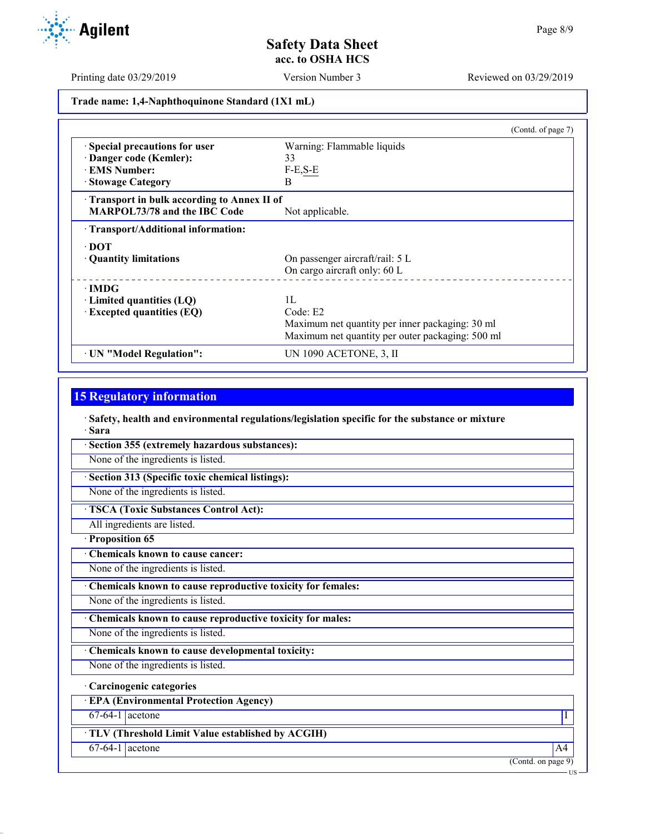Printing date 03/29/2019 Version Number 3 Reviewed on 03/29/2019

**Trade name: 1,4-Naphthoquinone Standard (1X1 mL)**

|                                            | (Contd. of page 7)                               |
|--------------------------------------------|--------------------------------------------------|
| Special precautions for user               | Warning: Flammable liquids                       |
| Danger code (Kemler):                      | 33                                               |
| <b>EMS Number:</b>                         | $F-E, S-E$                                       |
| · Stowage Category                         | B                                                |
| Transport in bulk according to Annex II of |                                                  |
| <b>MARPOL73/78 and the IBC Code</b>        | Not applicable.                                  |
| · Transport/Additional information:        |                                                  |
| $\cdot$ DOT                                |                                                  |
| • Quantity limitations                     | On passenger aircraft/rail: 5 L                  |
|                                            | On cargo aircraft only: 60 L                     |
| $\cdot$ IMDG                               |                                                  |
| $\cdot$ Limited quantities (LQ)            | 1L                                               |
| $\cdot$ Excepted quantities (EQ)           | Code: E2                                         |
|                                            | Maximum net quantity per inner packaging: 30 ml  |
|                                            | Maximum net quantity per outer packaging: 500 ml |
| · UN "Model Regulation":                   | UN 1090 ACETONE, 3, II                           |

## **15 Regulatory information**

· **Safety, health and environmental regulations/legislation specific for the substance or mixture** · **Sara**

· **Section 355 (extremely hazardous substances):**

None of the ingredients is listed.

· **Section 313 (Specific toxic chemical listings):**

None of the ingredients is listed.

· **TSCA (Toxic Substances Control Act):**

All ingredients are listed.

· **Proposition 65**

· **Chemicals known to cause cancer:**

None of the ingredients is listed.

· **Chemicals known to cause reproductive toxicity for females:**

None of the ingredients is listed.

· **Chemicals known to cause reproductive toxicity for males:**

None of the ingredients is listed.

· **Chemicals known to cause developmental toxicity:**

None of the ingredients is listed.

· **Carcinogenic categories**

· **EPA (Environmental Protection Agency)**

 $67-64-1$  acetone  $1$ 

· **TLV (Threshold Limit Value established by ACGIH)**

 $67-64-1$  acetone  $\overline{A4}$ 

(Contd. on page 9)



US